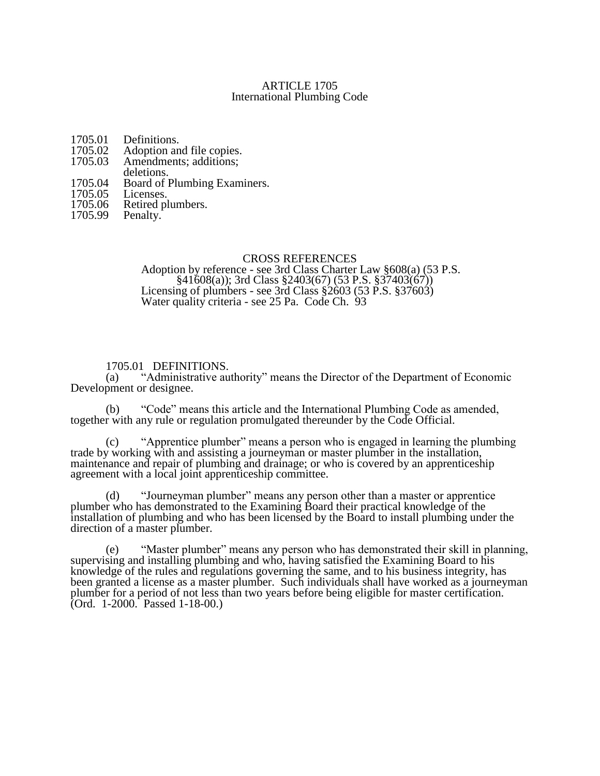### ARTICLE 1705 International Plumbing Code

- 1705.01 Definitions.<br>1705.02 Adoption an
- 1705.02 Adoption and file copies.<br>1705.03 Amendments; additions;
- Amendments; additions;
- deletions.
- 1705.04 Board of Plumbing Examiners.<br>1705.05 Licenses.
- 1705.05<br>1705.06
- 1705.06 Retired plumbers.<br>1705.99 Penalty.
- Penalty.

### CROSS REFERENCES

Adoption by reference - see 3rd Class Charter Law §608(a) (53 P.S. §41608(a)); 3rd Class §2403(67) (53 P.S. §37403(67)) Licensing of plumbers - see 3rd Class  $\frac{$2603}{52603}$  (53 P.S.  $\frac{$37603}{52603}$ ) Water quality criteria - see 25 Pa. Code Ch. 93

## 1705.01 DEFINITIONS.

(a) "Administrative authority" means the Director of the Department of Economic Development or designee.

(b) "Code" means this article and the International Plumbing Code as amended, together with any rule or regulation promulgated thereunder by the Code Official.

(c) "Apprentice plumber" means a person who is engaged in learning the plumbing trade by working with and assisting a journeyman or master plumber in the installation, maintenance and repair of plumbing and drainage; or who is covered by an apprenticeship agreement with a local joint apprenticeship committee.

(d) "Journeyman plumber" means any person other than a master or apprentice plumber who has demonstrated to the Examining Board their practical knowledge of the installation of plumbing and who has been licensed by the Board to install plumbing under the direction of a master plumber.

(e) "Master plumber" means any person who has demonstrated their skill in planning, supervising and installing plumbing and who, having satisfied the Examining Board to his knowledge of the rules and regulations governing the same, and to his business integrity, has been granted a license as a master plumber. Such individuals shall have worked as a journeyman plumber for a period of not less than two years before being eligible for master certification. (Ord. 1-2000. Passed 1-18-00.)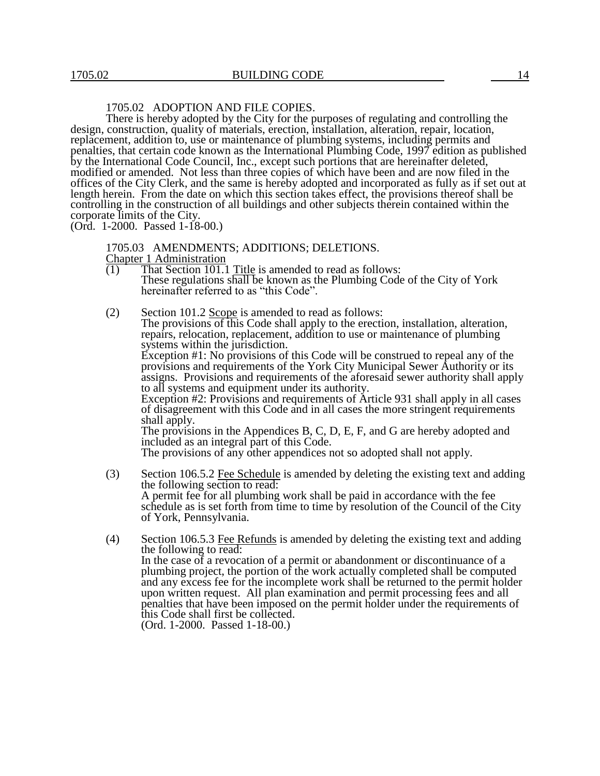# 1705.02 ADOPTION AND FILE COPIES.

There is hereby adopted by the City for the purposes of regulating and controlling the design, construction, quality of materials, erection, installation, alteration, repair, location, replacement, addition to, use or maintenance of plumbing systems, including permits and penalties, that certain code known as the International Plumbing Code, 1997 edition as published by the International Code Council, Inc., except such portions that are hereinafter deleted, modified or amended. Not less than three copies of which have been and are now filed in the offices of the City Clerk, and the same is hereby adopted and incorporated as fully as if set out at length herein. From the date on which this section takes effect, the provisions thereof shall be controlling in the construction of all buildings and other subjects therein contained within the corporate limits of the City.

(Ord. 1-2000. Passed 1-18-00.)

1705.03 AMENDMENTS; ADDITIONS; DELETIONS.

Chapter 1 Administration<br>(1) That Section 101.1

- That Section  $101.1$  Title is amended to read as follows: These regulations shall be known as the Plumbing Code of the City of York hereinafter referred to as "this Code".
- (2) Section 101.2 Scope is amended to read as follows: The provisions of this Code shall apply to the erection, installation, alteration, repairs, relocation, replacement, addition to use or maintenance of plumbing systems within the jurisdiction. Exception #1: No provisions of this Code will be construed to repeal any of the provisions and requirements of the York City Municipal Sewer Authority or its assigns. Provisions and requirements of the aforesaid sewer authority shall apply to all systems and equipment under its authority. Exception #2: Provisions and requirements of Article 931 shall apply in all cases of disagreement with this Code and in all cases the more stringent requirements shall apply. The provisions in the Appendices B, C, D, E, F, and G are hereby adopted and included as an integral part of this Code. The provisions of any other appendices not so adopted shall not apply. (3) Section 106.5.2 Fee Schedule is amended by deleting the existing text and adding
- the following section to read: A permit fee for all plumbing work shall be paid in accordance with the fee schedule as is set forth from time to time by resolution of the Council of the City of York, Pennsylvania.
- (4) Section 106.5.3 Fee Refunds is amended by deleting the existing text and adding the following to read: In the case of a revocation of a permit or abandonment or discontinuance of a plumbing project, the portion of the work actually completed shall be computed and any excess fee for the incomplete work shall be returned to the permit holder upon written request. All plan examination and permit processing fees and all penalties that have been imposed on the permit holder under the requirements of this Code shall first be collected. (Ord. 1-2000. Passed 1-18-00.)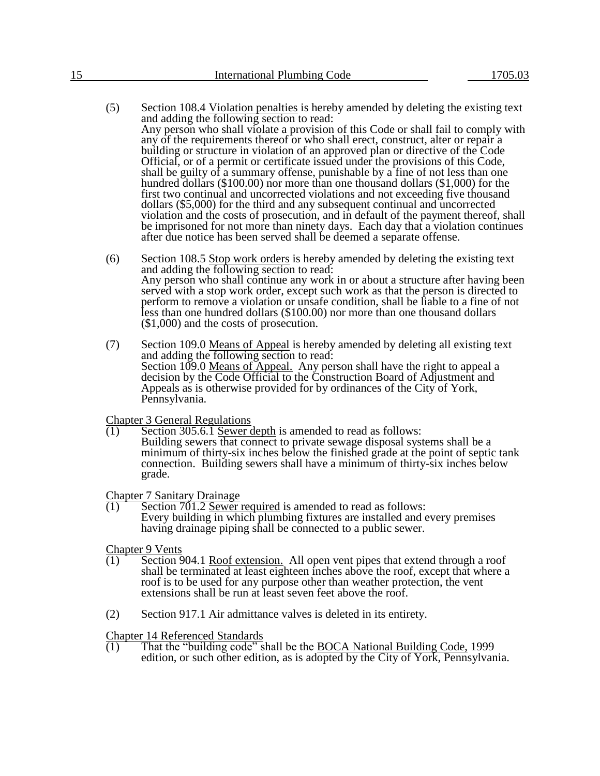- (5) Section 108.4 Violation penalties is hereby amended by deleting the existing text and adding the following section to read: Any person who shall violate a provision of this Code or shall fail to comply with any of the requirements thereof or who shall erect, construct, alter or repair a building or structure in violation of an approved plan or directive of the Code Official, or of a permit or certificate issued under the provisions of this Code, shall be guilty of a summary offense, punishable by a fine of not less than one hundred dollars (\$100.00) nor more than one thousand dollars (\$1,000) for the first two continual and uncorrected violations and not exceeding five thousand dollars (\$5,000) for the third and any subsequent continual and uncorrected violation and the costs of prosecution, and in default of the payment thereof, shall be imprisoned for not more than ninety days. Each day that a violation continues after due notice has been served shall be deemed a separate offense.
- $(6)$  Section 108.5 Stop work orders is hereby amended by deleting the existing text and adding the following section to read: Any person who shall continue any work in or about a structure after having been served with a stop work order, except such work as that the person is directed to perform to remove a violation or unsafe condition, shall be liable to a fine of not less than one hundred dollars (\$100.00) nor more than one thousand dollars (\$1,000) and the costs of prosecution.
- (7) Section 109.0 Means of Appeal is hereby amended by deleting all existing text and adding the following section to read: Section 109.0 Means of Appeal. Any person shall have the right to appeal a decision by the Code Official to the Construction Board of Adjustment and Appeals as is otherwise provided for by ordinances of the City of York, Pennsylvania.

Chapter 3 General Regulations

 $\overline{(1)}$  Section 305.6.1 Sewer depth is amended to read as follows: Building sewers that connect to private sewage disposal systems shall be a minimum of thirty-six inches below the finished grade at the point of septic tank connection. Building sewers shall have a minimum of thirty-six inches below grade.

Chapter 7 Sanitary Drainage

 $(1)$  Section 701.2 Sewer required is amended to read as follows: Every building in which plumbing fixtures are installed and every premises having drainage piping shall be connected to a public sewer.

Chapter 9 Vents

- (1) Section 904.1 Roof extension. All open vent pipes that extend through a roof shall be terminated at least eighteen inches above the roof, except that where a roof is to be used for any purpose other than weather protection, the vent extensions shall be run at least seven feet above the roof.
- (2) Section 917.1 Air admittance valves is deleted in its entirety.

Chapter 14 Referenced Standards

 $(1)$  That the "building code" shall be the BOCA National Building Code, 1999 edition, or such other edition, as is adopted by the City of York, Pennsylvania.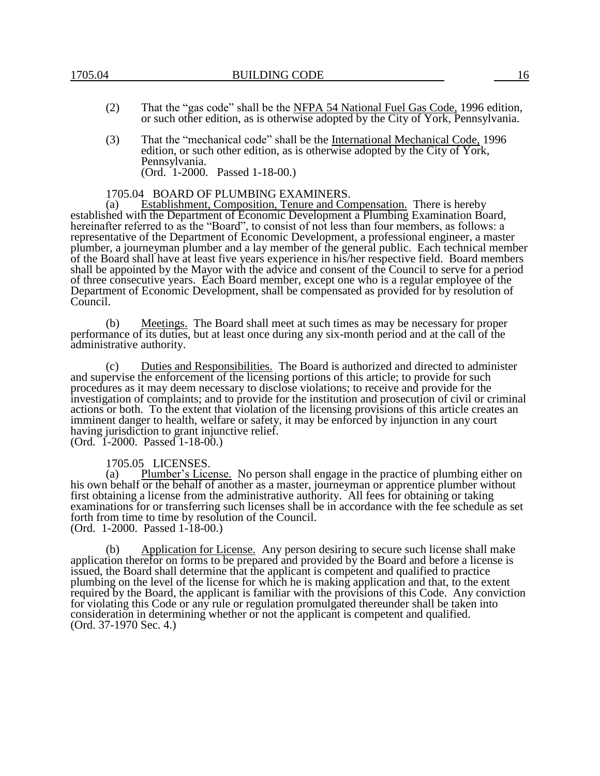- (2) That the "gas code" shall be the NFPA 54 National Fuel Gas Code, 1996 edition, or such other edition, as is otherwise adopted by the City of York, Pennsylvania.
- (3) That the "mechanical code" shall be the International Mechanical Code, 1996 edition, or such other edition, as is otherwise adopted by the City of York, Pennsylvania. (Ord. 1-2000. Passed 1-18-00.)

#### 1705.04 BOARD OF PLUMBING EXAMINERS.

(a) Establishment, Composition, Tenure and Compensation. There is hereby established with the Department of Economic Development a Plumbing Examination Board, hereinafter referred to as the "Board", to consist of not less than four members, as follows: a representative of the Department of Economic Development, a professional engineer, a master plumber, a journeyman plumber and a lay member of the general public. Each technical member of the Board shall have at least five years experience in his/her respective field. Board members shall be appointed by the Mayor with the advice and consent of the Council to serve for a period of three consecutive years. Each Board member, except one who is a regular employee of the Department of Economic Development, shall be compensated as provided for by resolution of Council.

(b) Meetings. The Board shall meet at such times as may be necessary for proper performance of its duties, but at least once during any six-month period and at the call of the administrative authority.

(c) Duties and Responsibilities. The Board is authorized and directed to administer and supervise the enforcement of the licensing portions of this article; to provide for such procedures as it may deem necessary to disclose violations; to receive and provide for the investigation of complaints; and to provide for the institution and prosecution of civil or criminal actions or both. To the extent that violation of the licensing provisions of this article creates an imminent danger to health, welfare or safety, it may be enforced by injunction in any court having jurisdiction to grant injunctive relief. (Ord. 1-2000. Passed 1-18-00.)

1705.05 LICENSES.<br>(a) Plumber's Lice Plumber's License. No person shall engage in the practice of plumbing either on his own behalf or the behalf of another as a master, journeyman or apprentice plumber without first obtaining a license from the administrative authority. All fees for obtaining or taking examinations for or transferring such licenses shall be in accordance with the fee schedule as set forth from time to time by resolution of the Council. (Ord. 1-2000. Passed 1-18-00.)

(b) Application for License. Any person desiring to secure such license shall make application therefor on forms to be prepared and provided by the Board and before a license is issued, the Board shall determine that the applicant is competent and qualified to practice plumbing on the level of the license for which he is making application and that, to the extent required by the Board, the applicant is familiar with the provisions of this Code. Any conviction for violating this Code or any rule or regulation promulgated thereunder shall be taken into consideration in determining whether or not the applicant is competent and qualified. (Ord. 37-1970 Sec. 4.)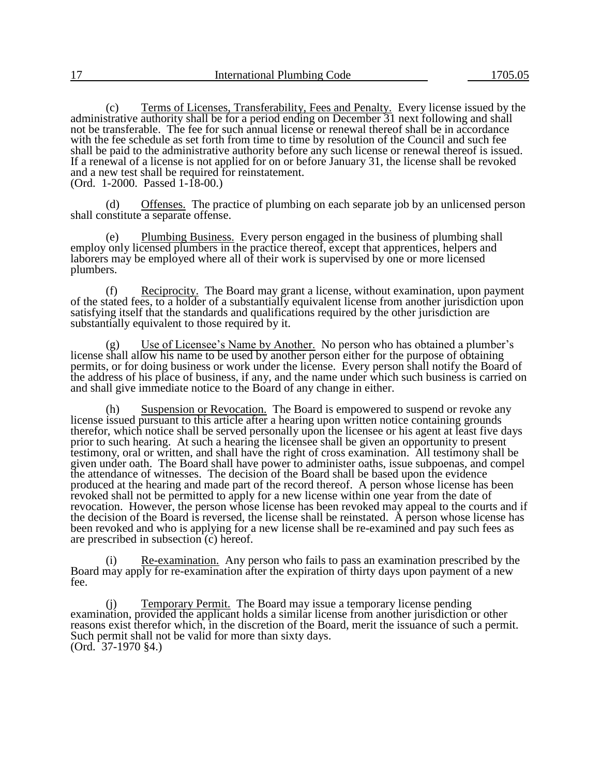(c) Terms of Licenses, Transferability, Fees and Penalty. Every license issued by the administrative authority shall be for a period ending on December 31 next following and shall not be transferable. The fee for such annual license or renewal thereof shall be in accordance with the fee schedule as set forth from time to time by resolution of the Council and such fee shall be paid to the administrative authority before any such license or renewal thereof is issued. If a renewal of a license is not applied for on or before January 31, the license shall be revoked and a new test shall be required for reinstatement. (Ord. 1-2000. Passed 1-18-00.)

(d) Offenses. The practice of plumbing on each separate job by an unlicensed person shall constitute a separate offense.

(e) Plumbing Business. Every person engaged in the business of plumbing shall employ only licensed plumbers in the practice thereof, except that apprentices, helpers and laborers may be employed where all of their work is supervised by one or more licensed plumbers.

 $(f)$  Reciprocity. The Board may grant a license, without examination, upon payment of the stated fees, to a holder of a substantially equivalent license from another jurisdiction upon satisfying itself that the standards and qualifications required by the other jurisdiction are substantially equivalent to those required by it.

Use of Licensee's Name by Another. No person who has obtained a plumber's license shall allow his name to be used by another person either for the purpose of obtaining permits, or for doing business or work under the license. Every person shall notify the Board of the address of his place of business, if any, and the name under which such business is carried on and shall give immediate notice to the Board of any change in either.

(h) Suspension or Revocation. The Board is empowered to suspend or revoke any license issued pursuant to this article after a hearing upon written notice containing grounds therefor, which notice shall be served personally upon the licensee or his agent at least five days prior to such hearing. At such a hearing the licensee shall be given an opportunity to present testimony, oral or written, and shall have the right of cross examination. All testimony shall be given under oath. The Board shall have power to administer oaths, issue subpoenas, and compel the attendance of witnesses. The decision of the Board shall be based upon the evidence produced at the hearing and made part of the record thereof. A person whose license has been revoked shall not be permitted to apply for a new license within one year from the date of revocation. However, the person whose license has been revoked may appeal to the courts and if the decision of the Board is reversed, the license shall be reinstated. A person whose license has been revoked and who is applying for a new license shall be re-examined and pay such fees as are prescribed in subsection (c) hereof.

Re-examination. Any person who fails to pass an examination prescribed by the Board may apply for re-examination after the expiration of thirty days upon payment of a new fee.

(j) Temporary Permit. The Board may issue a temporary license pending examination, provided the applicant holds a similar license from another jurisdiction or other reasons exist therefor which, in the discretion of the Board, merit the issuance of such a permit. Such permit shall not be valid for more than sixty days. (Ord. 37-1970 §4.)